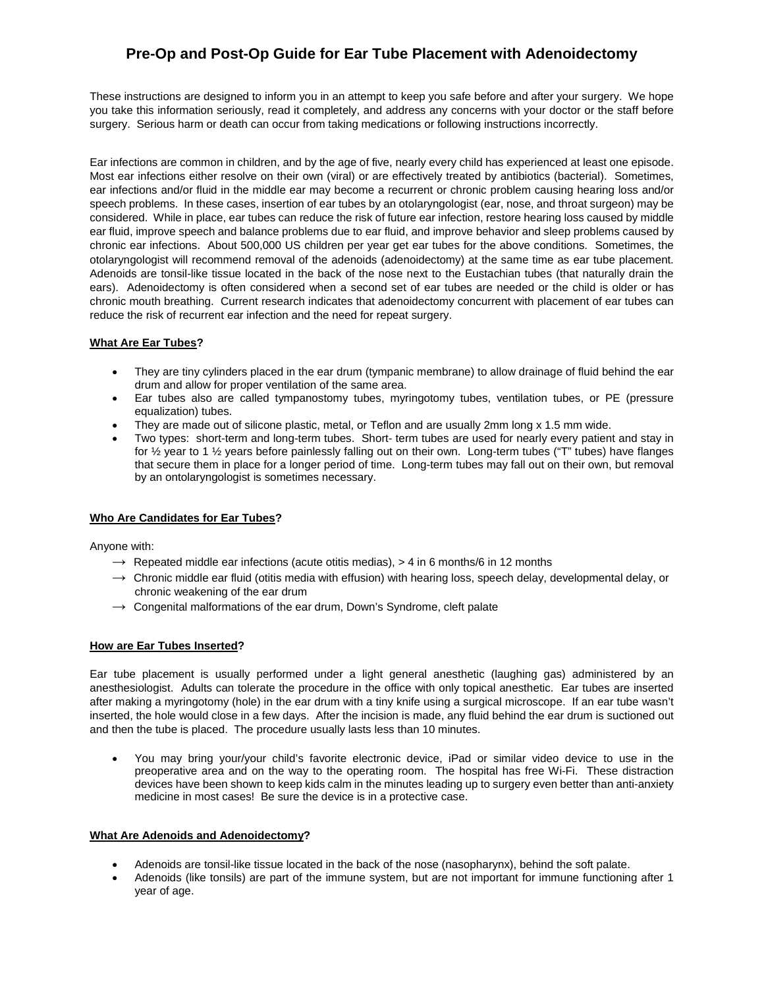## **Pre-Op and Post-Op Guide for Ear Tube Placement with Adenoidectomy**

These instructions are designed to inform you in an attempt to keep you safe before and after your surgery. We hope you take this information seriously, read it completely, and address any concerns with your doctor or the staff before surgery. Serious harm or death can occur from taking medications or following instructions incorrectly.

Ear infections are common in children, and by the age of five, nearly every child has experienced at least one episode. Most ear infections either resolve on their own (viral) or are effectively treated by antibiotics (bacterial). Sometimes, ear infections and/or fluid in the middle ear may become a recurrent or chronic problem causing hearing loss and/or speech problems. In these cases, insertion of ear tubes by an otolaryngologist (ear, nose, and throat surgeon) may be considered. While in place, ear tubes can reduce the risk of future ear infection, restore hearing loss caused by middle ear fluid, improve speech and balance problems due to ear fluid, and improve behavior and sleep problems caused by chronic ear infections. About 500,000 US children per year get ear tubes for the above conditions. Sometimes, the otolaryngologist will recommend removal of the adenoids (adenoidectomy) at the same time as ear tube placement. Adenoids are tonsil-like tissue located in the back of the nose next to the Eustachian tubes (that naturally drain the ears). Adenoidectomy is often considered when a second set of ear tubes are needed or the child is older or has chronic mouth breathing. Current research indicates that adenoidectomy concurrent with placement of ear tubes can reduce the risk of recurrent ear infection and the need for repeat surgery.

### **What Are Ear Tubes?**

- They are tiny cylinders placed in the ear drum (tympanic membrane) to allow drainage of fluid behind the ear drum and allow for proper ventilation of the same area.
- Ear tubes also are called tympanostomy tubes, myringotomy tubes, ventilation tubes, or PE (pressure equalization) tubes.
- They are made out of silicone plastic, metal, or Teflon and are usually 2mm long x 1.5 mm wide.
- Two types: short-term and long-term tubes. Short- term tubes are used for nearly every patient and stay in for ½ year to 1 ½ years before painlessly falling out on their own. Long-term tubes ("T" tubes) have flanges that secure them in place for a longer period of time. Long-term tubes may fall out on their own, but removal by an ontolaryngologist is sometimes necessary.

## **Who Are Candidates for Ear Tubes?**

Anyone with:

- $\rightarrow$  Repeated middle ear infections (acute otitis medias), > 4 in 6 months/6 in 12 months
- $\rightarrow$  Chronic middle ear fluid (otitis media with effusion) with hearing loss, speech delay, developmental delay, or chronic weakening of the ear drum
- $\rightarrow$  Congenital malformations of the ear drum, Down's Syndrome, cleft palate

#### **How are Ear Tubes Inserted?**

Ear tube placement is usually performed under a light general anesthetic (laughing gas) administered by an anesthesiologist. Adults can tolerate the procedure in the office with only topical anesthetic. Ear tubes are inserted after making a myringotomy (hole) in the ear drum with a tiny knife using a surgical microscope. If an ear tube wasn't inserted, the hole would close in a few days. After the incision is made, any fluid behind the ear drum is suctioned out and then the tube is placed. The procedure usually lasts less than 10 minutes.

• You may bring your/your child's favorite electronic device, iPad or similar video device to use in the preoperative area and on the way to the operating room. The hospital has free Wi-Fi. These distraction devices have been shown to keep kids calm in the minutes leading up to surgery even better than anti-anxiety medicine in most cases! Be sure the device is in a protective case.

#### **What Are Adenoids and Adenoidectomy?**

- Adenoids are tonsil-like tissue located in the back of the nose (nasopharynx), behind the soft palate.
- Adenoids (like tonsils) are part of the immune system, but are not important for immune functioning after 1 year of age.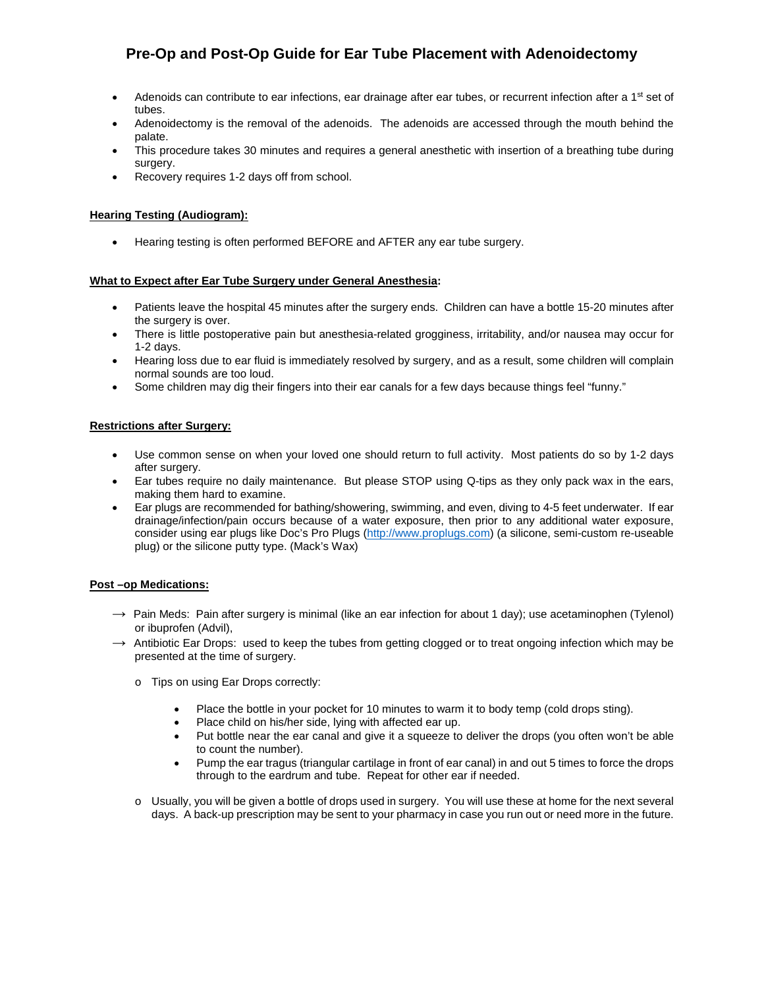# **Pre-Op and Post-Op Guide for Ear Tube Placement with Adenoidectomy**

- Adenoids can contribute to ear infections, ear drainage after ear tubes, or recurrent infection after a 1<sup>st</sup> set of tubes.
- Adenoidectomy is the removal of the adenoids. The adenoids are accessed through the mouth behind the palate.
- This procedure takes 30 minutes and requires a general anesthetic with insertion of a breathing tube during surgery.
- Recovery requires 1-2 days off from school.

### **Hearing Testing (Audiogram):**

• Hearing testing is often performed BEFORE and AFTER any ear tube surgery.

### **What to Expect after Ear Tube Surgery under General Anesthesia:**

- Patients leave the hospital 45 minutes after the surgery ends. Children can have a bottle 15-20 minutes after the surgery is over.
- There is little postoperative pain but anesthesia-related grogginess, irritability, and/or nausea may occur for 1-2 days.
- Hearing loss due to ear fluid is immediately resolved by surgery, and as a result, some children will complain normal sounds are too loud.
- Some children may dig their fingers into their ear canals for a few days because things feel "funny."

### **Restrictions after Surgery:**

- Use common sense on when your loved one should return to full activity. Most patients do so by 1-2 days after surgery.
- Ear tubes require no daily maintenance. But please STOP using Q-tips as they only pack wax in the ears, making them hard to examine.
- Ear plugs are recommended for bathing/showering, swimming, and even, diving to 4-5 feet underwater. If ear drainage/infection/pain occurs because of a water exposure, then prior to any additional water exposure, consider using ear plugs like Doc's Pro Plugs [\(http://www.proplugs.com\)](http://www.proplugs.com/) (a silicone, semi-custom re-useable plug) or the silicone putty type. (Mack's Wax)

#### **Post –op Medications:**

- $\rightarrow$  Pain Meds: Pain after surgery is minimal (like an ear infection for about 1 day); use acetaminophen (Tylenol) or ibuprofen (Advil),
- $\rightarrow$  Antibiotic Ear Drops: used to keep the tubes from getting clogged or to treat ongoing infection which may be presented at the time of surgery.
	- o Tips on using Ear Drops correctly:
		- Place the bottle in your pocket for 10 minutes to warm it to body temp (cold drops sting).
		- Place child on his/her side, lying with affected ear up.
		- Put bottle near the ear canal and give it a squeeze to deliver the drops (you often won't be able to count the number).
		- Pump the ear tragus (triangular cartilage in front of ear canal) in and out 5 times to force the drops through to the eardrum and tube. Repeat for other ear if needed.
	- o Usually, you will be given a bottle of drops used in surgery. You will use these at home for the next several days. A back-up prescription may be sent to your pharmacy in case you run out or need more in the future.